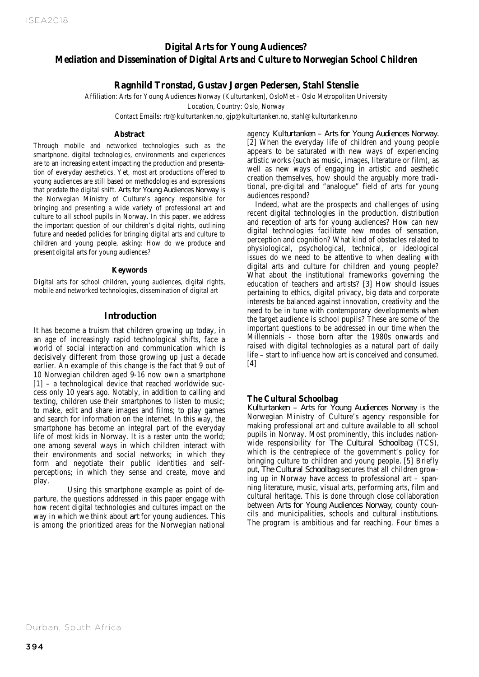## *Digital Arts for Young Audiences?* Stahl Stenslie **Digital Arts for Young Audiences? Mediation and Dissemination of Digital Arts and Culture to Norwegian School Children**

# **Ragnhild Tronstad, Gustav Jørgen Pedersen, Stahl Stenslie**

Affiliation: Arts for Young Audiences Norway (Kulturtanken), OsloMet – Oslo Metropolitan University

Location, Country: Oslo, Norway

Contact Emails: rtr@kulturtanken.no, gjp@kulturtanken.no, stahl@kulturtanken.no

#### **Abstract**

Through mobile and networked technologies such as the smartphone, digital technologies, environments and experiences are to an increasing extent impacting the production and presentation of everyday aesthetics. Yet, most art productions offered to young audiences are still based on methodologies and expressions that predate the digital shift. *Arts for Young Audiences Norway* is the Norwegian Ministry of Culture's agency responsible for bringing and presenting a wide variety of professional art and culture to all school pupils in Norway. In this paper, we address the important question of our children's digital rights, outlining future and needed policies for bringing digital arts and culture to children and young people, asking: How do we produce and present digital arts for young audiences?

#### **Keywords**

Digital arts for school children, young audiences, digital rights, mobile and networked technologies, dissemination of digital art

## **Introduction**

It has become a truism that children growing up today, in an age of increasingly rapid technological shifts, face a world of social interaction and communication which is decisively different from those growing up just a decade earlier. An example of this change is the fact that 9 out of 10 Norwegian children aged 9-16 now own a smartphone [1] – a technological device that reached worldwide success only 10 years ago. Notably, in addition to calling and texting, children use their smartphones to listen to music; to make, edit and share images and films; to play games and search for information on the internet. In this way, the smartphone has become an integral part of the everyday life of most kids in Norway. It is a raster unto the world; one among several ways in which children interact with their environments and social networks; in which they form and negotiate their public identities and selfperceptions; in which they sense and create, move and play.

 Using this smartphone example as point of departure, the questions addressed in this paper engage with how recent digital technologies and cultures impact on the way in which we think about *art* for young audiences. This is among the prioritized areas for the Norwegian national

agency *Kulturtanken – Arts for Young Audiences Norway.*  [2] When the everyday life of children and young people appears to be saturated with new ways of experiencing artistic works (such as music, images, literature or film), as well as new ways of engaging in artistic and aesthetic creation themselves, how should the arguably more traditional, pre-digital and "analogue" field of arts for young audiences respond?

Indeed, what are the prospects and challenges of using recent digital technologies in the production, distribution and reception of arts for young audiences? How can new digital technologies facilitate new modes of sensation, perception and cognition? What kind of obstacles related to physiological, psychological, technical, or ideological issues do we need to be attentive to when dealing with digital arts and culture for children and young people? What about the institutional frameworks governing the education of teachers and artists? [3] How should issues pertaining to ethics, digital privacy, big data and corporate interests be balanced against innovation, creativity and the need to be in tune with contemporary developments when the target audience is school pupils? These are some of the important questions to be addressed in our time when the Millennials – those born after the 1980s onwards and raised with digital technologies as a natural part of daily life – start to influence how art is conceived and consumed.  $[4]$ 

## **The Cultural Schoolbag**

*Kulturtanken – Arts for Young Audiences Norway* is the Norwegian Ministry of Culture's agency responsible for making professional art and culture available to all school pupils in Norway. Most prominently, this includes nationwide responsibility for *The Cultural Schoolbag* (TCS), which is the centrepiece of the government's policy for bringing culture to children and young people*.* [5] Briefly put, *The Cultural Schoolbag* secures that all children growing up in Norway have access to professional art – spanning literature, music, visual arts, performing arts, film and cultural heritage. This is done through close collaboration between *Arts for Young Audiences Norway,* county councils and municipalities, schools and cultural institutions. The program is ambitious and far reaching. Four times a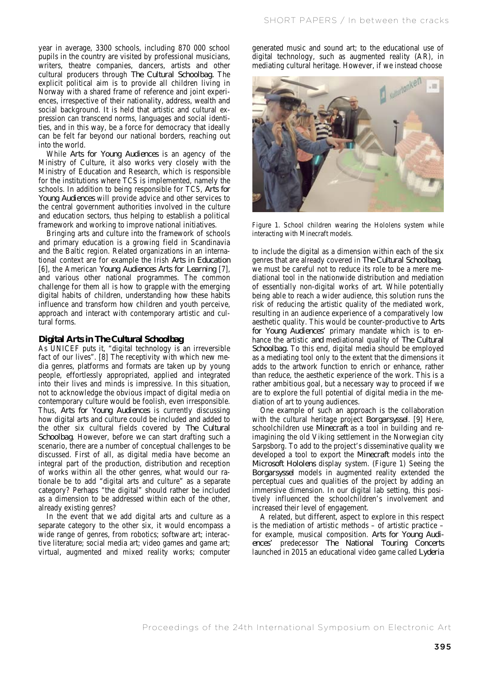year in average, 3300 schools, including 870 000 school pupils in the country are visited by professional musicians, writers, theatre companies, dancers, artists and other cultural producers through *The Cultural Schoolbag.* The explicit political aim is to provide all children living in Norway with a shared frame of reference and joint experiences, irrespective of their nationality, address, wealth and social background. It is held that artistic and cultural expression can transcend norms, languages and social identities, and in this way, be a force for democracy that ideally can be felt far beyond our national borders, reaching out into the world.

While *Arts for Young Audiences* is an agency of the Ministry of Culture, it also works very closely with the Ministry of Education and Research, which is responsible for the institutions where TCS is implemented, namely the schools. In addition to being responsible for TCS, *Arts for Young Audiences* will provide advice and other services to the central government authorities involved in the culture and education sectors, thus helping to establish a political framework and working to improve national initiatives.

Bringing arts and culture into the framework of schools and primary education is a growing field in Scandinavia and the Baltic region. Related organizations in an international context are for example the Irish *Arts in Education* [6], the American *Young Audiences Arts for Learning* [7], and various other national programmes. The common challenge for them all is how to grapple with the emerging digital habits of children, understanding how these habits influence and transform how children and youth perceive, approach and interact with contemporary artistic and cultural forms.

#### **Digital Arts in** *The Cultural Schoolbag*

As UNICEF puts it, "digital technology is an irreversible fact of our lives". [8] The receptivity with which new media genres, platforms and formats are taken up by young people, effortlessly appropriated, applied and integrated into their lives and minds is impressive. In this situation, not to acknowledge the obvious impact of digital media on contemporary culture would be foolish, even irresponsible. Thus, *Arts for Young Audiences* is currently discussing how digital arts and culture could be included and added to the other six cultural fields covered by *The Cultural Schoolbag*. However, before we can start drafting such a scenario, there are a number of conceptual challenges to be discussed. First of all, as digital media have become an integral part of the production, distribution and reception of works within all the other genres, what would our rationale be to add "digital arts and culture" as a separate category? Perhaps "the digital" should rather be included as a dimension to be addressed within each of the other, already existing genres?

In the event that we add digital arts and culture as a separate category to the other six, it would encompass a wide range of genres, from robotics; software art; interactive literature; social media art; video games and game art; virtual, augmented and mixed reality works; computer generated music and sound art; to the educational use of digital technology, such as augmented reality (AR), in mediating cultural heritage. However, if we instead choose



Figure 1. School children wearing the Hololens system while interacting with Minecraft models.

to include the digital as a dimension within each of the six genres that are already covered in *The Cultural Schoolbag*, we must be careful not to reduce its role to be a mere mediational tool in the nationwide distribution and mediation of essentially non-digital works of art. While potentially being able to reach a wider audience, this solution runs the risk of reducing the artistic quality of the mediated work, resulting in an audience experience of a comparatively low aesthetic quality. This would be counter-productive to *Arts for Young Audiences'* primary mandate which is to enhance the artistic *and* mediational quality of *The Cultural Schoolbag.* To this end, digital media should be employed as a mediating tool only to the extent that the dimensions it adds to the artwork function to enrich or enhance, rather than reduce, the aesthetic experience of the work. This is a rather ambitious goal, but a necessary way to proceed if we are to explore the full potential of digital media in the mediation of art to young audiences.

One example of such an approach is the collaboration with the cultural heritage project *Borgarsyssel*. [9] Here, schoolchildren use *Minecraft* as a tool in building and reimagining the old Viking settlement in the Norwegian city Sarpsborg. To add to the project's disseminative quality we developed a tool to export the *Minecraft* models into the *Microsoft Hololens* display system. (Figure 1) Seeing the *Borgarsyssel* models in augmented reality extended the perceptual cues and qualities of the project by adding an immersive dimension. In our digital lab setting, this positively influenced the schoolchildren's involvement and increased their level of engagement.

 A related, but different, aspect to explore in this respect is the mediation of artistic methods – of artistic practice – for example, musical composition. *Arts for Young Audiences'* predecessor *The National Touring Concerts* launched in 2015 an educational video game called *Lyderia*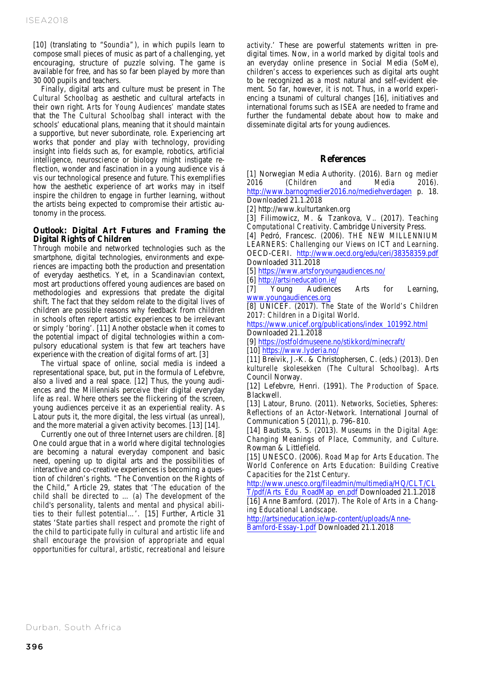[10] (translating to "*Soundia"*), in which pupils learn to compose small pieces of music as part of a challenging, yet encouraging, structure of puzzle solving. The game is available for free, and has so far been played by more than 30 000 pupils and teachers.

Finally, digital arts and culture must be present in *The Cultural Schoolbag* as aesthetic and cultural artefacts in their own right. *Arts for Young Audiences'* mandate states that the *The Cultural Schoolbag* shall interact with the schools' educational plans, meaning that it should maintain a supportive, but never subordinate, role. Experiencing art works that ponder and play with technology, providing insight into fields such as, for example, robotics, artificial intelligence, neuroscience or biology might instigate reflection, wonder and fascination in a young audience vis á vis our technological presence and future. This exemplifies how the aesthetic experience of art works may in itself inspire the children to engage in further learning, without the artists being expected to compromise their artistic autonomy in the process.

### **Outlook: Digital Art Futures and Framing the Digital Rights of Children**

Through mobile and networked technologies such as the smartphone, digital technologies, environments and experiences are impacting both the production and presentation of everyday aesthetics. Yet, in a Scandinavian context, most art productions offered young audiences are based on methodologies and expressions that predate the digital shift. The fact that they seldom relate to the digital lives of children are possible reasons why feedback from children in schools often report artistic experiences to be irrelevant or simply 'boring'. [11] Another obstacle when it comes to the potential impact of digital technologies within a compulsory educational system is that few art teachers have experience with the creation of digital forms of art. [3]

The virtual space of online, social media is indeed a representational space, but, put in the formula of Lefebvre, also a lived and a real space. [12] Thus, the young audiences and the Millennials perceive their digital everyday life as *real*. Where others see the flickering of the screen, young audiences perceive it as an experiential reality. As Latour puts it, the more digital, the less virtual (as unreal), and the more material a given activity becomes. [13] [14].

Currently one out of three Internet users are children. [8] One could argue that in a world where digital technologies are becoming a natural everyday component and basic need, opening up to digital arts and the possibilities of interactive and co-creative experiences is becoming a question of children's rights. "The Convention on the Rights of the Child," Article 29, states that '*The education of the child shall be directed to … (a) The development of the child's personality, talents and mental and physical abilities to their fullest potential…*'. [15] Further, Article 31 states '*State parties shall respect and promote the right of the child to participate fully in cultural and artistic life and shall encourage the provision of appropriate and equal opportunities for cultural, artistic, recreational and leisure* 

*activity*.' These are powerful statements written in predigital times. Now, in a world marked by digital tools and an everyday online presence in Social Media (SoMe), children's access to experiences such as digital arts ought to be recognized as a most natural and self-evident element. So far, however, it is not. Thus, in a world experiencing a tsunami of cultural changes [16], initiatives and international forums such as ISEA are needed to frame and further the fundamental debate about how to make and disseminate digital arts for young audiences.

### **References**

[1] Norwegian Media Authority. (2016). *Barn og medier 2016 (Children and Media 2016)*. http://www.barnogmedier2016.no/mediehverdagen p. 18. Downloaded 21.1.2018

[2] http://www.kulturtanken.org

[3] Filimowicz, M. & Tzankova, V.. (2017). *Teaching Computational Creativity*. Cambridge University Press.

[4] Pedró, Francesc. (2006). *THE NEW MILLENNIUM LEARNERS: Challenging our Views on ICT and Learning*. OECD-CERI. http://www.oecd.org/edu/ceri/38358359.pdf Downloaded 311.2018

[5] https://www.artsforyoungaudiences.no/

[6] http://artsineducation.ie/

[7] Young Audiences Arts for Learning, www.youngaudiences.org

[8] UNICEF. (2017). *The State of the World's Children 2017: Children in a Digital World*.

https://www.unicef.org/publications/index\_101992.html Downloaded 21.1.2018

[9] https://ostfoldmuseene.no/stikkord/minecraft/

[10] https://www.lyderia.no/

[11] Breivik, J.-K. & Christophersen, C. (eds.) (2013). *Den kulturelle skolesekken (The Cultural Schoolbag)*. Arts Council Norway.

[12] Lefebvre, Henri. (1991). *The Production of Space*. Blackwell.

[13] Latour, Bruno. (2011). *Networks, Societies, Spheres: Reflections of an Actor-Network*. International Journal of Communication 5 (2011), p. 796–810.

[14] Bautista, S. S. (2013). *Museums in the Digital Age: Changing Meanings of Place, Community, and Culture*. Rowman & Littlefield.

[15] UNESCO. (2006). *Road Map for Arts Education. The World Conference on Arts Education: Building Creative Capacities for the 21st Century*.

http://www.unesco.org/fileadmin/multimedia/HQ/CLT/CL

T/pdf/Arts\_Edu\_RoadMap\_en.pdf Downloaded 21.1.2018 [16] Anne Bamford. (2017). *The Role of Arts in a Changing Educational Landscape*.

http://artsineducation.ie/wp-content/uploads/Anne-Bamford-Essay-1.pdf Downloaded 21.1.2018